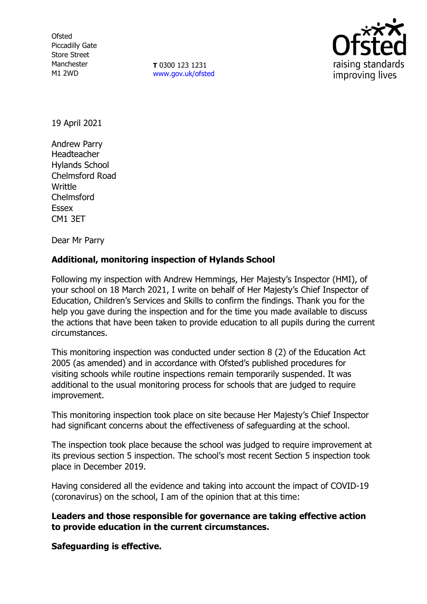**Ofsted** Piccadilly Gate Store Street Manchester M1 2WD

**T** 0300 123 1231 [www.gov.uk/ofsted](http://www.gov.uk/ofsted)



19 April 2021

Andrew Parry Headteacher Hylands School Chelmsford Road Writtle Chelmsford Essex CM1 3ET

Dear Mr Parry

## **Additional, monitoring inspection of Hylands School**

Following my inspection with Andrew Hemmings, Her Majesty's Inspector (HMI), of your school on 18 March 2021, I write on behalf of Her Majesty's Chief Inspector of Education, Children's Services and Skills to confirm the findings. Thank you for the help you gave during the inspection and for the time you made available to discuss the actions that have been taken to provide education to all pupils during the current circumstances.

This monitoring inspection was conducted under section 8 (2) of the Education Act 2005 (as amended) and in accordance with Ofsted's published procedures for visiting schools while routine inspections remain temporarily suspended. It was additional to the usual monitoring process for schools that are judged to require improvement.

This monitoring inspection took place on site because Her Majesty's Chief Inspector had significant concerns about the effectiveness of safeguarding at the school.

The inspection took place because the school was judged to require improvement at its previous section 5 inspection. The school's most recent Section 5 inspection took place in December 2019.

Having considered all the evidence and taking into account the impact of COVID-19 (coronavirus) on the school, I am of the opinion that at this time:

**Leaders and those responsible for governance are taking effective action to provide education in the current circumstances.** 

**Safeguarding is effective.**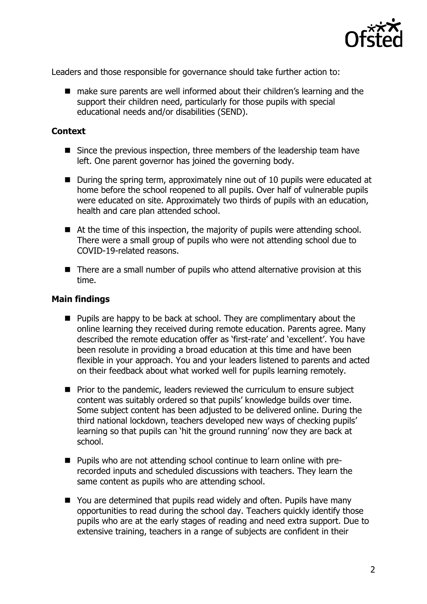

Leaders and those responsible for governance should take further action to:

■ make sure parents are well informed about their children's learning and the support their children need, particularly for those pupils with special educational needs and/or disabilities (SEND).

## **Context**

- Since the previous inspection, three members of the leadership team have left. One parent governor has joined the governing body.
- During the spring term, approximately nine out of 10 pupils were educated at home before the school reopened to all pupils. Over half of vulnerable pupils were educated on site. Approximately two thirds of pupils with an education, health and care plan attended school.
- At the time of this inspection, the majority of pupils were attending school. There were a small group of pupils who were not attending school due to COVID-19-related reasons.
- There are a small number of pupils who attend alternative provision at this time.

## **Main findings**

- $\blacksquare$  Pupils are happy to be back at school. They are complimentary about the online learning they received during remote education. Parents agree. Many described the remote education offer as 'first-rate' and 'excellent'. You have been resolute in providing a broad education at this time and have been flexible in your approach. You and your leaders listened to parents and acted on their feedback about what worked well for pupils learning remotely.
- **Prior to the pandemic, leaders reviewed the curriculum to ensure subject** content was suitably ordered so that pupils' knowledge builds over time. Some subject content has been adjusted to be delivered online. During the third national lockdown, teachers developed new ways of checking pupils' learning so that pupils can 'hit the ground running' now they are back at school.
- Pupils who are not attending school continue to learn online with prerecorded inputs and scheduled discussions with teachers. They learn the same content as pupils who are attending school.
- You are determined that pupils read widely and often. Pupils have many opportunities to read during the school day. Teachers quickly identify those pupils who are at the early stages of reading and need extra support. Due to extensive training, teachers in a range of subjects are confident in their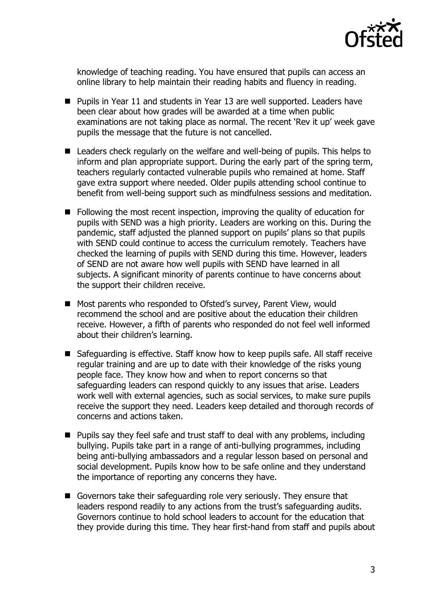

knowledge of teaching reading. You have ensured that pupils can access an online library to help maintain their reading habits and fluency in reading.

- **Pupils in Year 11 and students in Year 13 are well supported. Leaders have** been clear about how grades will be awarded at a time when public examinations are not taking place as normal. The recent 'Rev it up' week gave pupils the message that the future is not cancelled.
- Leaders check regularly on the welfare and well-being of pupils. This helps to inform and plan appropriate support. During the early part of the spring term, teachers regularly contacted vulnerable pupils who remained at home. Staff gave extra support where needed. Older pupils attending school continue to benefit from well-being support such as mindfulness sessions and meditation.
- Following the most recent inspection, improving the quality of education for pupils with SEND was a high priority. Leaders are working on this. During the pandemic, staff adjusted the planned support on pupils' plans so that pupils with SEND could continue to access the curriculum remotely. Teachers have checked the learning of pupils with SEND during this time. However, leaders of SEND are not aware how well pupils with SEND have learned in all subjects. A significant minority of parents continue to have concerns about the support their children receive.
- Most parents who responded to Ofsted's survey, Parent View, would recommend the school and are positive about the education their children receive. However, a fifth of parents who responded do not feel well informed about their children's learning.
- Safeguarding is effective. Staff know how to keep pupils safe. All staff receive regular training and are up to date with their knowledge of the risks young people face. They know how and when to report concerns so that safeguarding leaders can respond quickly to any issues that arise. Leaders work well with external agencies, such as social services, to make sure pupils receive the support they need. Leaders keep detailed and thorough records of concerns and actions taken.
- Pupils say they feel safe and trust staff to deal with any problems, including bullying. Pupils take part in a range of anti-bullying programmes, including being anti-bullying ambassadors and a regular lesson based on personal and social development. Pupils know how to be safe online and they understand the importance of reporting any concerns they have.
- Governors take their safeguarding role very seriously. They ensure that leaders respond readily to any actions from the trust's safeguarding audits. Governors continue to hold school leaders to account for the education that they provide during this time. They hear first-hand from staff and pupils about